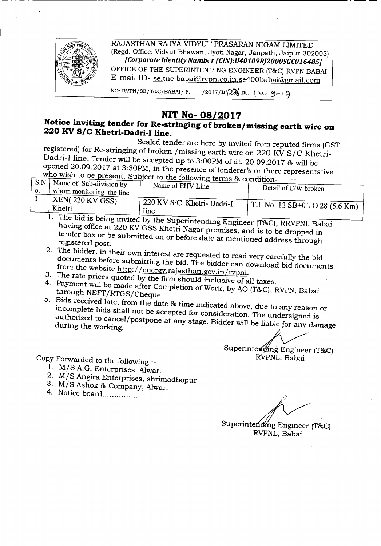

RAJASTHAN RAJYA VIDYU' ' PRASARAN NIGAM LIMITED (Regd. Office: Vidyut Bhawan, .fyoti Nagar, Janpath, Jaipur-302005j *[Corporate Identity Number (CIN):U40109RJ2000SGC016485]* OFFICE OF THE SUPERINTENLING ENGINEER (T&C) RVPN BABAI E-mail ID-se.tnc.babai@rvpn.co.in.se400babai@gmail.com

NO: RVPN/SE/T&C/BABAI/ F. /2017/D $\sqrt{2}$ Dt.  $\sqrt{4}-9$ -13

## **NIT No-08/2017**

## Notice inviting tender for Re-stringing of broken/missing earth wire on **220 KV***SIC* **Khetri-Dadri-I line.**

- - - - ------------- ----------\_. --

Sealed tender are here by invited from reputed firms (GST registered) for Re-stringing of broken /missing earth wire on 220 KV S/C Khetri-Dadri-I line. Tender will be accepted up to 3:00PM of dt. 20.09.2017 & will be opened 20.09.2017 at 3:30PM, in the presence of tenderer's or there representative

| $\frac{1}{2}$ , $\frac{1}{2}$ , $\frac{1}{2}$ , $\frac{1}{2}$ , $\frac{1}{2}$ , $\frac{1}{2}$ , $\frac{1}{2}$ , $\frac{1}{2}$ , $\frac{1}{2}$ , $\frac{1}{2}$ , $\frac{1}{2}$ , $\frac{1}{2}$ , $\frac{1}{2}$ , $\frac{1}{2}$ , $\frac{1}{2}$ , $\frac{1}{2}$ , $\frac{1}{2}$ , $\frac{1}{2}$ , $\frac{1}{2}$ , $\frac{1}{2}$ ,<br>$\_\text{who wish}$ to be present. Subject to the following terms & condition- |                                        |                           |                                      |  |  |  |  |  |
|-------------------------------------------------------------------------------------------------------------------------------------------------------------------------------------------------------------------------------------------------------------------------------------------------------------------------------------------------------------------------------------------------------------------|----------------------------------------|---------------------------|--------------------------------------|--|--|--|--|--|
| S.N                                                                                                                                                                                                                                                                                                                                                                                                               | $\cdot$   Name of Sub-division by      | Name of EHV Line          |                                      |  |  |  |  |  |
| $\mathbf{O}$ .                                                                                                                                                                                                                                                                                                                                                                                                    | $\rightarrow$ whom monitoring the line |                           | Detail of E/W broken                 |  |  |  |  |  |
|                                                                                                                                                                                                                                                                                                                                                                                                                   | $+$ XEN( 220 KV GSS)<br>Khetri         | 220 KV S/C Khetri-Dadri-I | $\pm$ T.L No. 12 SB+0 TO 28 (5.6 Km) |  |  |  |  |  |
|                                                                                                                                                                                                                                                                                                                                                                                                                   |                                        | line                      |                                      |  |  |  |  |  |

<sup>1.</sup> The bid is being invited by the Superintending Engineer (T&C), RRVPNL Babai having office at 220 KV GSS Khetri Nagar premises, and is to be dropped in tender box or be submitted On or before date at mentioned address through registered post.

- 2. The bidder, in their own interest are requested to read *very* carefully the bid documents before submitting the bid. The bidder can download bid documents from the website http://energy.rajasthan.gov.in/rvpnl.
- 3. The rate prices quoted by the firm should inclusive of all taxes.
- 4. Payment will be made after Completion of Work, by AO (T&C), RVPN, Babai through NEFT/RTGS/Cheque.
- 5. Bids received late, from the date & time indicated above, due to any reason or incomplete bids shall not be accepted for consideration. The Undersigned is authorized to cancel/postpone at any stage. Bidder will be liable for any damage<br>during the working.

Superintenging Engineer (T&C)<br>RVPNL, Babai

Copy Forwarded to the following :-

- 1. M/S A.G. Enterprises, Alwar.
- 2. M/S Angira Enterprises, shrimadhopur
- 3. M/S Ashok & Company, Alwar.
- 4. Notice board...............

Superintending Engineer (T&C) RVPNL, Babai